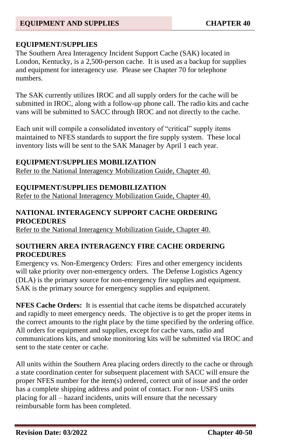### **EQUIPMENT/SUPPLIES**

The Southern Area Interagency Incident Support Cache (SAK) located in London, Kentucky, is a 2,500-person cache. It is used as a backup for supplies and equipment for interagency use. Please see Chapter 70 for telephone numbers.

The SAK currently utilizes IROC and all supply orders for the cache will be submitted in IROC, along with a follow-up phone call. The radio kits and cache vans will be submitted to SACC through IROC and not directly to the cache.

Each unit will compile a consolidated inventory of "critical" supply items maintained to NFES standards to support the fire supply system. These local inventory lists will be sent to the SAK Manager by April 1 each year.

#### **EQUIPMENT/SUPPLIES MOBILIZATION**

Refer to the National Interagency Mobilization Guide, Chapter 40.

### **EQUIPMENT/SUPPLIES DEMOBILIZATION**

Refer to the National Interagency Mobilization Guide, Chapter 40.

### **NATIONAL INTERAGENCY SUPPORT CACHE ORDERING PROCEDURES**

Refer to the National Interagency Mobilization Guide, Chapter 40.

### **SOUTHERN AREA INTERAGENCY FIRE CACHE ORDERING PROCEDURES**

Emergency vs. Non-Emergency Orders: Fires and other emergency incidents will take priority over non-emergency orders. The Defense Logistics Agency (DLA) is the primary source for non-emergency fire supplies and equipment. SAK is the primary source for emergency supplies and equipment.

**NFES Cache Orders:** It is essential that cache items be dispatched accurately and rapidly to meet emergency needs. The objective is to get the proper items in the correct amounts to the right place by the time specified by the ordering office. All orders for equipment and supplies, except for cache vans, radio and communications kits, and smoke monitoring kits will be submitted via IROC and sent to the state center or cache.

All units within the Southern Area placing orders directly to the cache or through a state coordination center for subsequent placement with SACC will ensure the proper NFES number for the item(s) ordered, correct unit of issue and the order has a complete shipping address and point of contact. For non- USFS units placing for all – hazard incidents, units will ensure that the necessary reimbursable form has been completed.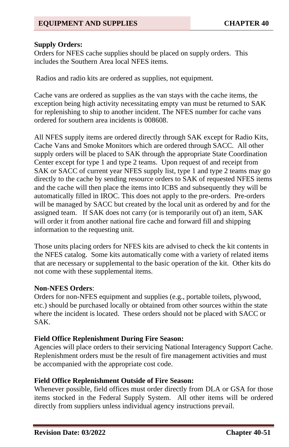### **Supply Orders:**

Orders for NFES cache supplies should be placed on supply orders. This includes the Southern Area local NFES items.

Radios and radio kits are ordered as supplies, not equipment.

Cache vans are ordered as supplies as the van stays with the cache items, the exception being high activity necessitating empty van must be returned to SAK for replenishing to ship to another incident. The NFES number for cache vans ordered for southern area incidents is 008608.

All NFES supply items are ordered directly through SAK except for Radio Kits, Cache Vans and Smoke Monitors which are ordered through SACC. All other supply orders will be placed to SAK through the appropriate State Coordination Center except for type 1 and type 2 teams. Upon request of and receipt from SAK or SACC of current year NFES supply list, type 1 and type 2 teams may go directly to the cache by sending resource orders to SAK of requested NFES items and the cache will then place the items into ICBS and subsequently they will be automatically filled in IROC. This does not apply to the pre-orders. Pre-orders will be managed by SACC but created by the local unit as ordered by and for the assigned team. If SAK does not carry (or is temporarily out of) an item, SAK will order it from another national fire cache and forward fill and shipping information to the requesting unit.

Those units placing orders for NFES kits are advised to check the kit contents in the NFES catalog. Some kits automatically come with a variety of related items that are necessary or supplemental to the basic operation of the kit. Other kits do not come with these supplemental items.

#### **Non-NFES Orders**:

Orders for non-NFES equipment and supplies (e.g., portable toilets, plywood, etc.) should be purchased locally or obtained from other sources within the state where the incident is located. These orders should not be placed with SACC or SAK.

#### **Field Office Replenishment During Fire Season:**

Agencies will place orders to their servicing National Interagency Support Cache. Replenishment orders must be the result of fire management activities and must be accompanied with the appropriate cost code.

### **Field Office Replenishment Outside of Fire Season:**

Whenever possible, field offices must order directly from DLA or GSA for those items stocked in the Federal Supply System. All other items will be ordered directly from suppliers unless individual agency instructions prevail.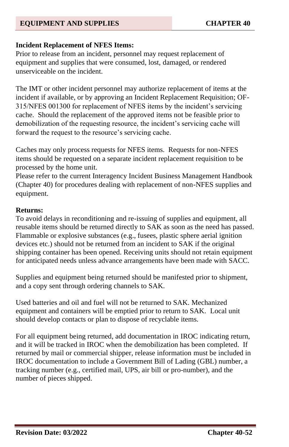### **Incident Replacement of NFES Items:**

Prior to release from an incident, personnel may request replacement of equipment and supplies that were consumed, lost, damaged, or rendered unserviceable on the incident.

The IMT or other incident personnel may authorize replacement of items at the incident if available, or by approving an Incident Replacement Requisition; OF-315/NFES 001300 for replacement of NFES items by the incident's servicing cache. Should the replacement of the approved items not be feasible prior to demobilization of the requesting resource, the incident's servicing cache will forward the request to the resource's servicing cache.

Caches may only process requests for NFES items. Requests for non-NFES items should be requested on a separate incident replacement requisition to be processed by the home unit.

Please refer to the current Interagency Incident Business Management Handbook (Chapter 40) for procedures dealing with replacement of non-NFES supplies and equipment.

#### **Returns:**

To avoid delays in reconditioning and re-issuing of supplies and equipment, all reusable items should be returned directly to SAK as soon as the need has passed. Flammable or explosive substances (e.g., fusees, plastic sphere aerial ignition devices etc.) should not be returned from an incident to SAK if the original shipping container has been opened. Receiving units should not retain equipment for anticipated needs unless advance arrangements have been made with SACC.

Supplies and equipment being returned should be manifested prior to shipment, and a copy sent through ordering channels to SAK.

Used batteries and oil and fuel will not be returned to SAK. Mechanized equipment and containers will be emptied prior to return to SAK. Local unit should develop contacts or plan to dispose of recyclable items.

For all equipment being returned, add documentation in IROC indicating return, and it will be tracked in IROC when the demobilization has been completed. If returned by mail or commercial shipper, release information must be included in IROC documentation to include a Government Bill of Lading (GBL) number, a tracking number (e.g., certified mail, UPS, air bill or pro-number), and the number of pieces shipped.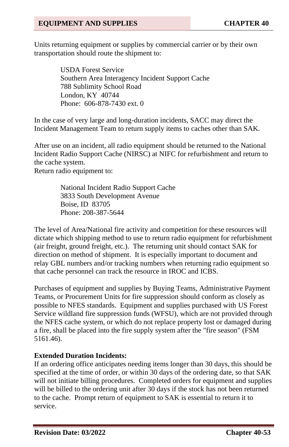Units returning equipment or supplies by commercial carrier or by their own transportation should route the shipment to:

> USDA Forest Service Southern Area Interagency Incident Support Cache 788 Sublimity School Road London, KY 40744 Phone: 606-878-7430 ext. 0

In the case of very large and long-duration incidents, SACC may direct the Incident Management Team to return supply items to caches other than SAK.

After use on an incident, all radio equipment should be returned to the National Incident Radio Support Cache (NIRSC) at NIFC for refurbishment and return to the cache system.

Return radio equipment to:

National Incident Radio Support Cache 3833 South Development Avenue Boise, ID 83705 Phone: 208-387-5644

The level of Area/National fire activity and competition for these resources will dictate which shipping method to use to return radio equipment for refurbishment (air freight, ground freight, etc.). The returning unit should contact SAK for direction on method of shipment. It is especially important to document and relay GBL numbers and/or tracking numbers when returning radio equipment so that cache personnel can track the resource in IROC and ICBS.

Purchases of equipment and supplies by Buying Teams, Administrative Payment Teams, or Procurement Units for fire suppression should conform as closely as possible to NFES standards. Equipment and supplies purchased with US Forest Service wildland fire suppression funds (WFSU), which are not provided through the NFES cache system, or which do not replace property lost or damaged during a fire, shall be placed into the fire supply system after the "fire season" (FSM 5161.46).

### **Extended Duration Incidents:**

If an ordering office anticipates needing items longer than 30 days, this should be specified at the time of order, or within 30 days of the ordering date, so that SAK will not initiate billing procedures. Completed orders for equipment and supplies will be billed to the ordering unit after 30 days if the stock has not been returned to the cache. Prompt return of equipment to SAK is essential to return it to service.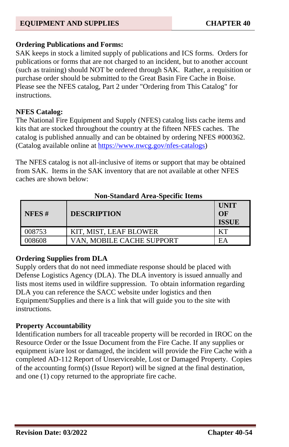#### **Ordering Publications and Forms:**

SAK keeps in stock a limited supply of publications and ICS forms. Orders for publications or forms that are not charged to an incident, but to another account (such as training) should NOT be ordered through SAK. Rather, a requisition or purchase order should be submitted to the Great Basin Fire Cache in Boise. Please see the NFES catalog, Part 2 under "Ordering from This Catalog" for instructions.

### **NFES Catalog:**

The National Fire Equipment and Supply (NFES) catalog lists cache items and kits that are stocked throughout the country at the fifteen NFES caches. The catalog is published annually and can be obtained by ordering NFES #000362. (Catalog available online a[t https://www.nwcg.gov/nfes-catalogs\)](https://www.nwcg.gov/nfes-catalogs)

The NFES catalog is not all-inclusive of items or support that may be obtained from SAK. Items in the SAK inventory that are not available at other NFES caches are shown below:

| $\blacksquare$ NFES # | <b>DESCRIPTION</b>        | UNIT<br>$\Omega$<br><b>ISSUE</b> |
|-----------------------|---------------------------|----------------------------------|
| 008753                | KIT, MIST, LEAF BLOWER    |                                  |
| 008608                | VAN. MOBILE CACHE SUPPORT | EA                               |

### **Non-Standard Area-Specific Items**

### **Ordering Supplies from DLA**

Supply orders that do not need immediate response should be placed with Defense Logistics Agency (DLA). The DLA inventory is issued annually and lists most items used in wildfire suppression. To obtain information regarding DLA you can reference the SACC website under logistics and then Equipment/Supplies and there is a link that will guide you to the site with instructions.

#### **Property Accountability**

Identification numbers for all traceable property will be recorded in IROC on the Resource Order or the Issue Document from the Fire Cache. If any supplies or equipment is/are lost or damaged, the incident will provide the Fire Cache with a completed AD-112 Report of Unserviceable, Lost or Damaged Property. Copies of the accounting form(s) (Issue Report) will be signed at the final destination, and one (1) copy returned to the appropriate fire cache.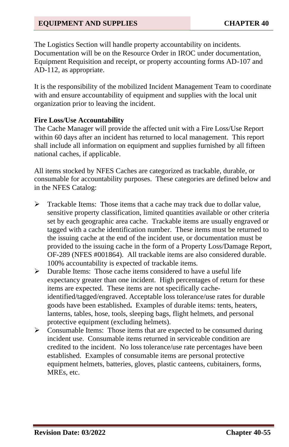The Logistics Section will handle property accountability on incidents. Documentation will be on the Resource Order in IROC under documentation, Equipment Requisition and receipt, or property accounting forms AD-107 and AD-112, as appropriate.

It is the responsibility of the mobilized Incident Management Team to coordinate with and ensure accountability of equipment and supplies with the local unit organization prior to leaving the incident.

#### **Fire Loss/Use Accountability**

The Cache Manager will provide the affected unit with a Fire Loss/Use Report within 60 days after an incident has returned to local management. This report shall include all information on equipment and supplies furnished by all fifteen national caches, if applicable.

All items stocked by NFES Caches are categorized as trackable, durable, or consumable for accountability purposes. These categories are defined below and in the NFES Catalog:

- ➢ Trackable Items: Those items that a cache may track due to dollar value, sensitive property classification, limited quantities available or other criteria set by each geographic area cache. Trackable items are usually engraved or tagged with a cache identification number. These items must be returned to the issuing cache at the end of the incident use, or documentation must be provided to the issuing cache in the form of a Property Loss/Damage Report, OF-289 (NFES #001864). All trackable items are also considered durable. 100% accountability is expected of trackable items.
- ➢ Durable Items: Those cache items considered to have a useful life expectancy greater than one incident. High percentages of return for these items are expected. These items are not specifically cacheidentified/tagged/engraved. Acceptable loss tolerance/use rates for durable goods have been established**.** Examples of durable items: tents, heaters, lanterns, tables, hose, tools, sleeping bags, flight helmets, and personal protective equipment (excluding helmets).
- ➢ Consumable Items: Those items that are expected to be consumed during incident use. Consumable items returned in serviceable condition are credited to the incident. No loss tolerance/use rate percentages have been established. Examples of consumable items are personal protective equipment helmets, batteries, gloves, plastic canteens, cubitainers, forms, MREs, etc.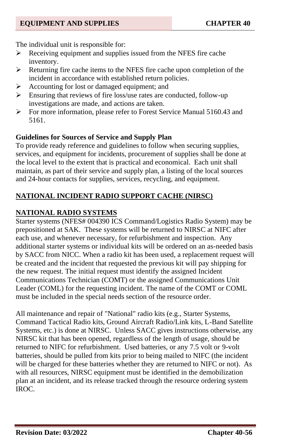The individual unit is responsible for:

- ➢ Receiving equipment and supplies issued from the NFES fire cache inventory.
- ➢ Returning fire cache items to the NFES fire cache upon completion of the incident in accordance with established return policies.
- ➢ Accounting for lost or damaged equipment; and
- ➢ Ensuring that reviews of fire loss/use rates are conducted, follow-up investigations are made, and actions are taken.
- ➢ For more information, please refer to Forest Service Manual 5160.43 and 5161.

### **Guidelines for Sources of Service and Supply Plan**

To provide ready reference and guidelines to follow when securing supplies, services, and equipment for incidents, procurement of supplies shall be done at the local level to the extent that is practical and economical. Each unit shall maintain, as part of their service and supply plan, a listing of the local sources and 24-hour contacts for supplies, services, recycling, and equipment.

# **NATIONAL INCIDENT RADIO SUPPORT CACHE (NIRSC)**

# **NATIONAL RADIO SYSTEMS**

Starter systems (NFES# 004390 ICS Command/Logistics Radio System) may be prepositioned at SAK. These systems will be returned to NIRSC at NIFC after each use, and whenever necessary, for refurbishment and inspection. Any additional starter systems or individual kits will be ordered on an as-needed basis by SACC from NICC. When a radio kit has been used, a replacement request will be created and the incident that requested the previous kit will pay shipping for the new request. The initial request must identify the assigned Incident Communications Technician (COMT) or the assigned Communications Unit Leader (COML) for the requesting incident. The name of the COMT or COML must be included in the special needs section of the resource order.

All maintenance and repair of "National" radio kits (e.g., Starter Systems, Command Tactical Radio kits, Ground Aircraft Radio/Link kits, L-Band Satellite Systems, etc.) is done at NIRSC. Unless SACC gives instructions otherwise, any NIRSC kit that has been opened, regardless of the length of usage, should be returned to NIFC for refurbishment. Used batteries, or any 7.5 volt or 9-volt batteries, should be pulled from kits prior to being mailed to NIFC (the incident will be charged for these batteries whether they are returned to NIFC or not). As with all resources, NIRSC equipment must be identified in the demobilization plan at an incident, and its release tracked through the resource ordering system IROC.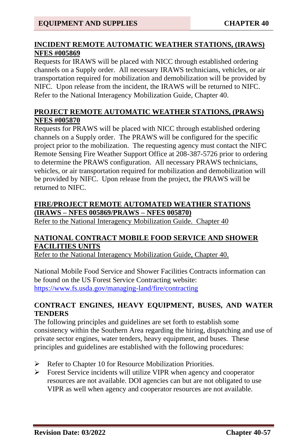### **INCIDENT REMOTE AUTOMATIC WEATHER STATIONS, (IRAWS) NFES #005869**

Requests for IRAWS will be placed with NICC through established ordering channels on a Supply order. All necessary IRAWS technicians, vehicles, or air transportation required for mobilization and demobilization will be provided by NIFC. Upon release from the incident, the IRAWS will be returned to NIFC. Refer to the National Interagency Mobilization Guide, Chapter 40.

### **PROJECT REMOTE AUTOMATIC WEATHER STATIONS, (PRAWS) NFES #005870**

Requests for PRAWS will be placed with NICC through established ordering channels on a Supply order. The PRAWS will be configured for the specific project prior to the mobilization. The requesting agency must contact the NIFC Remote Sensing Fire Weather Support Office at 208-387-5726 prior to ordering to determine the PRAWS configuration. All necessary PRAWS technicians, vehicles, or air transportation required for mobilization and demobilization will be provided by NIFC. Upon release from the project, the PRAWS will be returned to NIFC.

### **FIRE/PROJECT REMOTE AUTOMATED WEATHER STATIONS (IRAWS – NFES 005869/PRAWS – NFES 005870)**

Refer to the National Interagency Mobilization Guide. Chapter 40

### **NATIONAL CONTRACT MOBILE FOOD SERVICE AND SHOWER FACILITIES UNITS**

Refer to the National Interagency Mobilization Guide, Chapter 40.

National Mobile Food Service and Shower Facilities Contracts information can be found on the US Forest Service Contracting website: <https://www.fs.usda.gov/managing-land/fire/contracting>

### **CONTRACT ENGINES, HEAVY EQUIPMENT, BUSES, AND WATER TENDERS**

The following principles and guidelines are set forth to establish some consistency within the Southern Area regarding the hiring, dispatching and use of private sector engines, water tenders, heavy equipment, and buses. These principles and guidelines are established with the following procedures:

- ➢ Refer to Chapter 10 for Resource Mobilization Priorities.
- ➢ Forest Service incidents will utilize VIPR when agency and cooperator resources are not available. DOI agencies can but are not obligated to use VIPR as well when agency and cooperator resources are not available.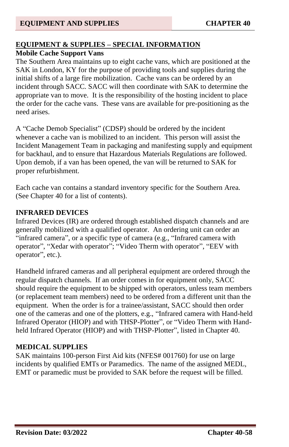### **EQUIPMENT & SUPPLIES – SPECIAL INFORMATION**

# **Mobile Cache Support Vans**

The Southern Area maintains up to eight cache vans, which are positioned at the SAK in London, KY for the purpose of providing tools and supplies during the initial shifts of a large fire mobilization. Cache vans can be ordered by an incident through SACC. SACC will then coordinate with SAK to determine the appropriate van to move. It is the responsibility of the hosting incident to place the order for the cache vans. These vans are available for pre-positioning as the need arises.

A "Cache Demob Specialist" (CDSP) should be ordered by the incident whenever a cache van is mobilized to an incident. This person will assist the Incident Management Team in packaging and manifesting supply and equipment for backhaul, and to ensure that Hazardous Materials Regulations are followed. Upon demob, if a van has been opened, the van will be returned to SAK for proper refurbishment.

Each cache van contains a standard inventory specific for the Southern Area. (See Chapter 40 for a list of contents).

### **INFRARED DEVICES**

Infrared Devices (IR) are ordered through established dispatch channels and are generally mobilized with a qualified operator. An ordering unit can order an "infrared camera", or a specific type of camera (e.g., "Infrared camera with operator", "Xedar with operator"; "Video Therm with operator", "EEV with operator", etc.).

Handheld infrared cameras and all peripheral equipment are ordered through the regular dispatch channels. If an order comes in for equipment only, SACC should require the equipment to be shipped with operators, unless team members (or replacement team members) need to be ordered from a different unit than the equipment. When the order is for a trainee/assistant, SACC should then order one of the cameras and one of the plotters, e.g., "Infrared camera with Hand-held Infrared Operator (HIOP) and with THSP-Plotter", or "Video Therm with Handheld Infrared Operator (HIOP) and with THSP-Plotter", listed in Chapter 40.

### **MEDICAL SUPPLIES**

SAK maintains 100-person First Aid kits (NFES# 001760) for use on large incidents by qualified EMTs or Paramedics. The name of the assigned MEDL, EMT or paramedic must be provided to SAK before the request will be filled.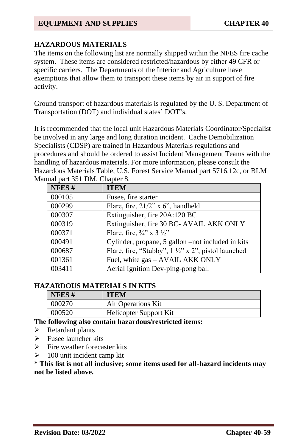### **HAZARDOUS MATERIALS**

The items on the following list are normally shipped within the NFES fire cache system. These items are considered restricted/hazardous by either 49 CFR or specific carriers. The Departments of the Interior and Agriculture have exemptions that allow them to transport these items by air in support of fire activity.

Ground transport of hazardous materials is regulated by the U. S. Department of Transportation (DOT) and individual states' DOT's.

It is recommended that the local unit Hazardous Materials Coordinator/Specialist be involved in any large and long duration incident. Cache Demobilization Specialists (CDSP) are trained in Hazardous Materials regulations and procedures and should be ordered to assist Incident Management Teams with the handling of hazardous materials. For more information, please consult the Hazardous Materials Table, U.S. Forest Service Manual part 5716.12c, or BLM Manual part 351 DM, Chapter 8.

| NFES#  | <b>ITEM</b>                                                   |
|--------|---------------------------------------------------------------|
| 000105 | Fusee, fire starter                                           |
| 000299 | Flare, fire, $21/2$ " x 6", handheld                          |
| 000307 | Extinguisher, fire 20A:120 BC                                 |
| 000319 | Extinguisher, fire 30 BC- AVAIL AKK ONLY                      |
| 000371 | Flare, fire, $\frac{3}{4}$ " x 3 $\frac{1}{2}$ "              |
| 000491 | Cylinder, propane, 5 gallon –not included in kits             |
| 000687 | Flare, fire, "Stubby", $1\frac{1}{2}$ " x 2", pistol launched |
| 001361 | Fuel, white gas - AVAIL AKK ONLY                              |
| 003411 | Aerial Ignition Dev-ping-pong ball                            |

#### **HAZARDOUS MATERIALS IN KITS**

| NFES $#$ | ITEM                   |
|----------|------------------------|
| 000270   | Air Operations Kit     |
| 000520   | Helicopter Support Kit |

#### **The following also contain hazardous/restricted items:**

- ➢ Retardant plants
- ➢ Fusee launcher kits
- $\triangleright$  Fire weather forecaster kits
- $\geq 100$  unit incident camp kit

**\* This list is not all inclusive; some items used for all-hazard incidents may not be listed above.**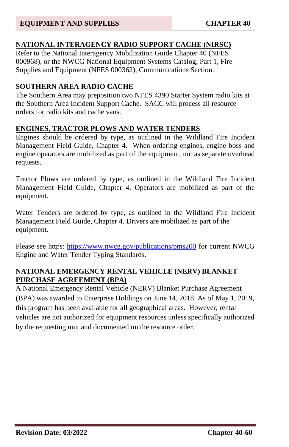# **NATIONAL INTERAGENCY RADIO SUPPORT CACHE (NIRSC)**

Refer to the National Interagency Mobilization Guide Chapter 40 (NFES 000968), or the NWCG National Equipment Systems Catalog, Part 1, Fire Supplies and Equipment (NFES 000362), Communications Section.

### **SOUTHERN AREA RADIO CACHE**

The Southern Area may preposition two NFES 4390 Starter System radio kits at the Southern Area Incident Support Cache. SACC will process all resource orders for radio kits and cache vans.

# **ENGINES, TRACTOR PLOWS AND WATER TENDERS**

Engines should be ordered by type, as outlined in the Wildland Fire Incident Management Field Guide, Chapter 4. When ordering engines, engine boss and engine operators are mobilized as part of the equipment, not as separate overhead requests.

Tractor Plows are ordered by type, as outlined in the Wildland Fire Incident Management Field Guide, Chapter 4. Operators are mobilized as part of the equipment.

Water Tenders are ordered by type, as outlined in the Wildland Fire Incident Management Field Guide, Chapter 4. Drivers are mobilized as part of the equipment.

Please see https:<https://www.nwcg.gov/publications/pms200> for current NWCG Engine and Water Tender Typing Standards.

### **NATIONAL EMERGENCY RENTAL VEHICLE (NERV) BLANKET PURCHASE AGREEMENT (BPA)**

A National Emergency Rental Vehicle (NERV) Blanket Purchase Agreement (BPA) was awarded to Enterprise Holdings on June 14, 2018. As of May 1, 2019, this program has been available for all geographical areas. However, rental vehicles are not authorized for equipment resources unless specifically authorized by the requesting unit and documented on the resource order.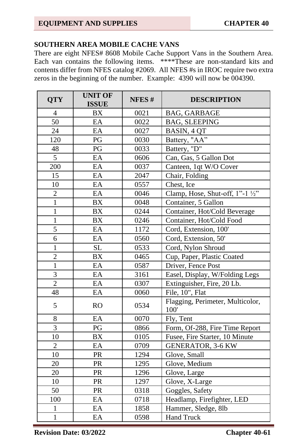#### **SOUTHERN AREA MOBILE CACHE VANS**

There are eight NFES# 8608 Mobile Cache Support Vans in the Southern Area. Each van contains the following items. \*\*\*\*These are non-standard kits and contents differ from NFES catalog #2069. All NFES #s in IROC require two extra zeros in the beginning of the number. Example: 4390 will now be 004390.

| <b>QTY</b>      | <b>UNIT OF</b><br><b>ISSUE</b> | NFES# | <b>DESCRIPTION</b>                       |
|-----------------|--------------------------------|-------|------------------------------------------|
| $\overline{4}$  | <b>BX</b>                      | 0021  | <b>BAG, GARBAGE</b>                      |
| $\overline{50}$ | EA                             | 0022  | <b>BAG, SLEEPING</b>                     |
| 24              | EA                             | 0027  | BASIN, 4 QT                              |
| 120             | PG                             | 0030  | Battery, "AA"                            |
| 48              | PG                             | 0033  | Battery, "D"                             |
| $\overline{5}$  | EA                             | 0606  | Can, Gas, 5 Gallon Dot                   |
| 200             | EA                             | 0037  | Canteen, 1qt W/O Cover                   |
| 15              | EA                             | 2047  | Chair, Folding                           |
| 10              | EA                             | 0557  | Chest, Ice                               |
| $\overline{c}$  | EA                             | 0046  | Clamp, Hose, Shut-off, 1"-1 1/2"         |
| $\overline{1}$  | <b>BX</b>                      | 0048  | Container, 5 Gallon                      |
| $\mathbf{1}$    | <b>BX</b>                      | 0244  | Container, Hot/Cold Beverage             |
| $\mathbf{1}$    | <b>BX</b>                      | 0246  | Container, Hot/Cold Food                 |
| 5               | EA                             | 1172  | Cord, Extension, 100'                    |
| 6               | EA                             | 0560  | Cord, Extension, 50'                     |
| $\mathbf{1}$    | <b>SL</b>                      | 0533  | Cord, Nylon Shroud                       |
| $\overline{c}$  | <b>BX</b>                      | 0465  | Cup, Paper, Plastic Coated               |
| $\mathbf{1}$    | EA                             | 0587  | Driver, Fence Post                       |
| 3               | EA                             | 3161  | Easel, Display, W/Folding Legs           |
| $\overline{2}$  | EA                             | 0307  | Extinguisher, Fire, 20 Lb.               |
| 48              | EA                             | 0060  | File, 10", Flat                          |
| 5               | <b>RO</b>                      | 0534  | Flagging, Perimeter, Multicolor,<br>100' |
| 8               | EA                             | 0070  | Fly, Tent                                |
| $\overline{3}$  | PG                             | 0866  | Form, Of-288, Fire Time Report           |
| 10              | <b>BX</b>                      | 0105  | Fusee, Fire Starter, 10 Minute           |
| $\overline{c}$  | EA                             | 0709  | <b>GENERATOR, 3-6 KW</b>                 |
| 10              | PR                             | 1294  | Glove, Small                             |
| 20              | PR                             | 1295  | Glove, Medium                            |
| 20              | PR                             | 1296  | Glove, Large                             |
| 10              | PR                             | 1297  | Glove, X-Large                           |
| 50              | PR                             | 0318  | Goggles, Safety                          |
| 100             | EA                             | 0718  | Headlamp, Firefighter, LED               |
| 1               | EA                             | 1858  | Hammer, Sledge, 8lb                      |
| $\overline{1}$  | EA                             | 0598  | <b>Hand Truck</b>                        |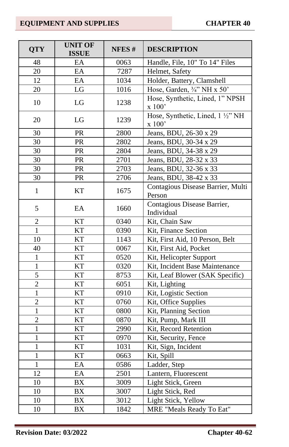| <b>QTY</b>     | <b>UNIT OF</b><br><b>ISSUE</b> | NFES# | <b>DESCRIPTION</b>                          |
|----------------|--------------------------------|-------|---------------------------------------------|
| 48             | EA                             | 0063  | Handle, File, 10" To 14" Files              |
| 20             | EA                             | 7287  | Helmet, Safety                              |
| 12             | EA                             | 1034  | Holder, Battery, Clamshell                  |
| 20             | $_{\rm LG}$                    | 1016  | Hose, Garden, 3/4" NH x 50"                 |
| 10             | LG                             | 1238  | Hose, Synthetic, Lined, 1" NPSH<br>x 100'   |
| 20             | LG                             | 1239  | Hose, Synthetic, Lined, 1 1/2" NH<br>x 100' |
| 30             | PR                             | 2800  | Jeans, BDU, 26-30 x 29                      |
| 30             | ${\rm PR}$                     | 2802  | Jeans, BDU, 30-34 x 29                      |
| $30\,$         | PR                             | 2804  | Jeans, BDU, 34-38 x 29                      |
| 30             | ${\rm PR}$                     | 2701  | Jeans, BDU, 28-32 x 33                      |
| 30             | PR                             | 2703  | Jeans, BDU, 32-36 x 33                      |
| 30             | PR                             | 2706  | Jeans, BDU, 38-42 x 33                      |
| $\mathbf{1}$   | KT                             | 1675  | Contagious Disease Barrier, Multi<br>Person |
| 5              | $\boldsymbol{\mathrm{EA}}$     | 1660  | Contagious Disease Barrier,<br>Individual   |
| $\overline{2}$ | <b>KT</b>                      | 0340  | Kit, Chain Saw                              |
| $\mathbf{1}$   | <b>KT</b>                      | 0390  | Kit, Finance Section                        |
| 10             | <b>KT</b>                      | 1143  | Kit, First Aid, 10 Person, Belt             |
| 40             | <b>KT</b>                      | 0067  | Kit, First Aid, Pocket                      |
| $\mathbf{1}$   | $\overline{\text{KT}}$         | 0520  | Kit, Helicopter Support                     |
| $\,1$          | $\overline{\text{KT}}$         | 0320  | Kit, Incident Base Maintenance              |
| $\overline{5}$ | <b>KT</b>                      | 8753  | Kit, Leaf Blower (SAK Specific)             |
| $\overline{2}$ | KT                             | 6051  | Kit, Lighting                               |
| $\overline{1}$ | $\overline{\text{KT}}$         | 0910  | Kit, Logistic Section                       |
| $\overline{2}$ | <b>KT</b>                      | 0760  | Kit, Office Supplies                        |
| $\mathbf{1}$   | KT                             | 0800  | Kit, Planning Section                       |
| $\overline{2}$ | KT                             | 0870  | Kit, Pump, Mark III                         |
| $\mathbf{1}$   | KT                             | 2990  | Kit, Record Retention                       |
| $\mathbf{1}$   | <b>KT</b>                      | 0970  | Kit, Security, Fence                        |
| $\mathbf{1}$   | KT                             | 1031  | Kit, Sign, Incident                         |
| $\mathbf{1}$   | KT                             | 0663  | Kit, Spill                                  |
| $\overline{1}$ | EA                             | 0586  | Ladder, Step                                |
| 12             | EA                             | 2501  | Lantern, Fluorescent                        |
| 10             | <b>BX</b>                      | 3009  | Light Stick, Green                          |
| $10\,$         | BX                             | 3007  | Light Stick, Red                            |
| 10             | <b>BX</b>                      | 3012  | Light Stick, Yellow                         |
| 10             | BX                             | 1842  | MRE "Meals Ready To Eat"                    |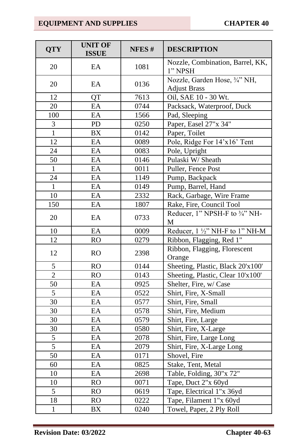| <b>QTY</b>     | <b>UNIT OF</b><br><b>ISSUE</b> | NFES# | <b>DESCRIPTION</b>                                   |
|----------------|--------------------------------|-------|------------------------------------------------------|
| 20             | EA                             | 1081  | Nozzle, Combination, Barrel, KK,<br>1" NPSH          |
| 20             | EA                             | 0136  | Nozzle, Garden Hose, 3/4" NH,<br><b>Adjust Brass</b> |
| 12             | QT                             | 7613  | Oil, SAE 10 - 30 Wt.                                 |
| 20             | EA                             | 0744  | Packsack, Waterproof, Duck                           |
| 100            | EA                             | 1566  | Pad, Sleeping                                        |
| 3              | PD                             | 0250  | Paper, Easel 27"x 34"                                |
| $\mathbf{1}$   | BX                             | 0142  | Paper, Toilet                                        |
| 12             | EA                             | 0089  | Pole, Ridge For 14'x16' Tent                         |
| 24             | EA                             | 0083  | Pole, Upright                                        |
| 50             | EA                             | 0146  | Pulaski W/Sheath                                     |
| $\mathbf{1}$   | EA                             | 0011  | Puller, Fence Post                                   |
| 24             | EA                             | 1149  | Pump, Backpack                                       |
| $\mathbf{1}$   | EA                             | 0149  | Pump, Barrel, Hand                                   |
| 10             | EA                             | 2332  | Rack, Garbage, Wire Frame                            |
| 150            | EA                             | 1807  | Rake, Fire, Council Tool                             |
| 20             | EA                             | 0733  | Reducer, 1" NPSH-F to 3/4" NH-<br>M                  |
| $10\,$         | EA                             | 0009  | Reducer, 1 1/2" NH-F to 1" NH-M                      |
| 12             | <b>RO</b>                      | 0279  | Ribbon, Flagging, Red 1"                             |
| 12             | <b>RO</b>                      | 2398  | Ribbon, Flagging, Florescent<br>Orange               |
| $\sqrt{5}$     | <b>RO</b>                      | 0144  | Sheeting, Plastic, Black 20'x100'                    |
| $\overline{2}$ | <b>RO</b>                      | 0143  | Sheeting, Plastic, Clear 10'x100'                    |
| 50             | EA                             | 0925  | Shelter, Fire, w/ Case                               |
| 5              | EA                             | 0522  | Shirt, Fire, X-Small                                 |
| 30             | EA                             | 0577  | Shirt, Fire, Small                                   |
| 30             | EA                             | 0578  | Shirt, Fire, Medium                                  |
| 30             | EA                             | 0579  | Shirt, Fire, Large                                   |
| 30             | EA                             | 0580  | Shirt, Fire, X-Large                                 |
| $\overline{5}$ | EA                             | 2078  | Shirt, Fire, Large Long                              |
| 5              | EA                             | 2079  | Shirt, Fire, X-Large Long                            |
| 50             | EA                             | 0171  | Shovel, Fire                                         |
| 60             | EA                             | 0825  | Stake, Tent, Metal                                   |
| 10             | EA                             | 2698  | Table, Folding, 30"x 72"                             |
| 10             | <b>RO</b>                      | 0071  | Tape, Duct 2"x 60yd                                  |
| $\overline{5}$ | <b>RO</b>                      | 0619  | Tape, Electrical 1"x 36yd                            |
| 18             | RO                             | 0222  | Tape, Filament 1"x 60yd                              |
| $\mathbf{1}$   | <b>BX</b>                      | 0240  | Towel, Paper, 2 Ply Roll                             |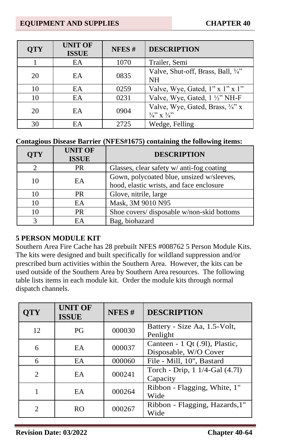| <b>OTY</b> | <b>UNIT OF</b><br><b>ISSUE</b> | NFES# | <b>DESCRIPTION</b>                                                  |
|------------|--------------------------------|-------|---------------------------------------------------------------------|
|            | EA                             | 1070  | Trailer, Semi                                                       |
| 20         | EA                             | 0835  | Valve, Shut-off, Brass, Ball, 3/4"<br><b>NH</b>                     |
| 10         | EA                             | 0259  | Valve, Wye, Gated, $1" \times 1" \times 1"$                         |
| 10         | EA                             | 0231  | Valve, Wye, Gated, 1 1/2" NH-F                                      |
| 20         | EA                             | 0904  | Valve, Wye, Gated, Brass, 3/4" x<br>$\frac{3}{4}$ , x $\frac{3}{4}$ |
| 30         | EA                             | 2725  | Wedge, Felling                                                      |

#### **Contagious Disease Barrier (NFES#1675) containing the following items:**

| <b>QTY</b> | <b>UNIT OF</b><br><b>ISSUE</b> | <b>DESCRIPTION</b>                                                                    |
|------------|--------------------------------|---------------------------------------------------------------------------------------|
|            | <b>PR</b>                      | Glasses, clear safety w/ anti-fog coating                                             |
| 10         | EA                             | Gown, polycoated blue, unsized w/sleeves,<br>hood, elastic wrists, and face enclosure |
| 10         | <b>PR</b>                      | Glove, nitrile, large                                                                 |
| 10         | EA                             | Mask, 3M 9010 N95                                                                     |
| 10         | <b>PR</b>                      | Shoe covers/ disposable w/non-skid bottoms                                            |
|            | EА                             | Bag, biohazard                                                                        |

#### **5 PERSON MODULE KIT**

Southern Area Fire Cache has 28 prebuilt NFES #008762 5 Person Module Kits. The kits were designed and built specifically for wildland suppression and/or prescribed burn activities within the Southern Area. However, the kits can be used outside of the Southern Area by Southern Area resources. The following table lists items in each module kit. Order the module kits through normal dispatch channels.

| $\mathbf{T}\mathbf{Y}$ | <b>UNIT OF</b><br><b>ISSUE</b> | NFES#  | <b>DESCRIPTION</b>                                      |
|------------------------|--------------------------------|--------|---------------------------------------------------------|
| 12                     | PG                             | 000030 | Battery - Size Aa, 1.5-Volt,<br>Penlight                |
| 6                      | EA                             | 000037 | Canteen - 1 Qt (.91), Plastic,<br>Disposable, W/O Cover |
| 6                      | EA                             | 000060 | File - Mill, 10", Bastard                               |
| $\mathfrak{D}$         | <b>EA</b>                      | 000241 | Torch - Drip, 1 1/4-Gal (4.71)<br>Capacity              |
|                        | EA                             | 000264 | Ribbon - Flagging, White, 1"<br>Wide                    |
| $\mathfrak{D}$         | R <sub>O</sub>                 | 000267 | Ribbon - Flagging, Hazards, 1"<br>Wide                  |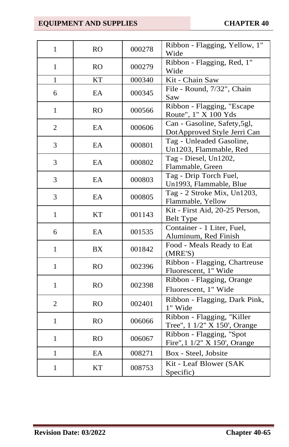| $\mathbf{1}$   | <b>RO</b>      | 000278 | Ribbon - Flagging, Yellow, 1"<br>Wide                        |
|----------------|----------------|--------|--------------------------------------------------------------|
| $\mathbf{1}$   | R <sub>O</sub> | 000279 | Ribbon - Flagging, Red, 1"<br>Wide                           |
| $\mathbf{1}$   | <b>KT</b>      | 000340 | Kit - Chain Saw                                              |
| 6              | EA             | 000345 | File - Round, 7/32", Chain<br>Saw                            |
| $\mathbf{1}$   | RO             | 000566 | Ribbon - Flagging, "Escape<br>Route", 1" X 100 Yds           |
| $\overline{2}$ | EA             | 000606 | Can - Gasoline, Safety, 5gl,<br>Dot Approved Style Jerri Can |
| 3              | EA             | 000801 | Tag - Unleaded Gasoline,<br>Un1203, Flammable, Red           |
| 3              | EA             | 000802 | Tag - Diesel, Un1202,<br>Flammable, Green                    |
| 3              | EA             | 000803 | Tag - Drip Torch Fuel,<br>Un1993, Flammable, Blue            |
| 3              | EA             | 000805 | Tag - 2 Stroke Mix, Un1203,<br>Flammable, Yellow             |
| $\mathbf{1}$   | <b>KT</b>      | 001143 | Kit - First Aid, 20-25 Person,<br><b>Belt Type</b>           |
| 6              | EA             | 001535 | Container - 1 Liter, Fuel,<br>Aluminum, Red Finish           |
| $\mathbf{1}$   | <b>BX</b>      | 001842 | Food - Meals Ready to Eat<br>(MRE'S)                         |
| $\mathbf{1}$   | R <sub>O</sub> | 002396 | Ribbon - Flagging, Chartreuse<br>Fluorescent, 1" Wide        |
| $\mathbf{1}$   | <b>RO</b>      | 002398 | Ribbon - Flagging, Orange<br>Fluorescent, 1" Wide            |
| $\overline{2}$ | <b>RO</b>      | 002401 | Ribbon - Flagging, Dark Pink,<br>1" Wide                     |
| $\mathbf{1}$   | <b>RO</b>      | 006066 | Ribbon - Flagging, "Killer<br>Tree", 1 1/2" X 150', Orange   |
| $\mathbf{1}$   | <b>RO</b>      | 006067 | Ribbon - Flagging, "Spot<br>Fire", 1 1/2" X 150', Orange     |
| $\mathbf{1}$   | EA             | 008271 | Box - Steel, Jobsite                                         |
| $\mathbf{1}$   | <b>KT</b>      | 008753 | Kit - Leaf Blower (SAK<br>Specific)                          |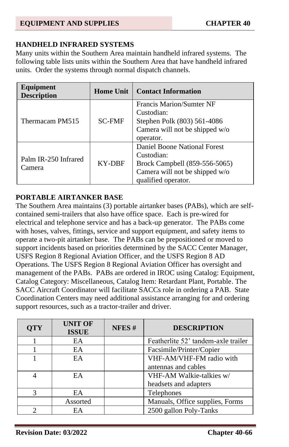### **HANDHELD INFRARED SYSTEMS**

Many units within the Southern Area maintain handheld infrared systems. The following table lists units within the Southern Area that have handheld infrared units. Order the systems through normal dispatch channels.

| Equipment<br><b>Description</b> | <b>Contact Information</b><br>Home Unit |                                                                                                                                      |
|---------------------------------|-----------------------------------------|--------------------------------------------------------------------------------------------------------------------------------------|
| Thermacam PM515                 | <b>SC-FMF</b>                           | <b>Francis Marion/Sumter NF</b><br>Custodian:<br>Stephen Polk (803) 561-4086<br>Camera will not be shipped w/o<br>operator.          |
| Palm IR-250 Infrared<br>Camera  | KY-DBF                                  | Daniel Boone National Forest<br>Custodian:<br>Brock Campbell (859-556-5065)<br>Camera will not be shipped w/o<br>qualified operator. |

### **PORTABLE AIRTANKER BASE**

The Southern Area maintains (3) portable airtanker bases (PABs), which are selfcontained semi-trailers that also have office space. Each is pre-wired for electrical and telephone service and has a back-up generator. The PABs come with hoses, valves, fittings, service and support equipment, and safety items to operate a two-pit airtanker base. The PABs can be prepositioned or moved to support incidents based on priorities determined by the SACC Center Manager, USFS Region 8 Regional Aviation Officer, and the USFS Region 8 AD Operations. The USFS Region 8 Regional Aviation Officer has oversight and management of the PABs. PABs are ordered in IROC using Catalog: Equipment, Catalog Category: Miscellaneous, Catalog Item: Retardant Plant, Portable. The SACC Aircraft Coordinator will facilitate SACCs role in ordering a PAB. State Coordination Centers may need additional assistance arranging for and ordering support resources, such as a tractor-trailer and driver.

| <b>QTY</b> | <b>UNIT OF</b><br><b>ISSUE</b> | NFES# | <b>DESCRIPTION</b>                  |
|------------|--------------------------------|-------|-------------------------------------|
|            | EA                             |       | Featherlite 52' tandem-axle trailer |
|            | EA                             |       | Facsimile/Printer/Copier            |
|            | EA                             |       | VHF-AM/VHF-FM radio with            |
|            |                                |       | antennas and cables                 |
|            | EA                             |       | VHF-AM Walkie-talkies w/            |
|            |                                |       | headsets and adapters               |
|            | EA.                            |       | Telephones                          |
|            | Assorted                       |       | Manuals, Office supplies, Forms     |
|            | EA                             |       | 2500 gallon Poly-Tanks              |